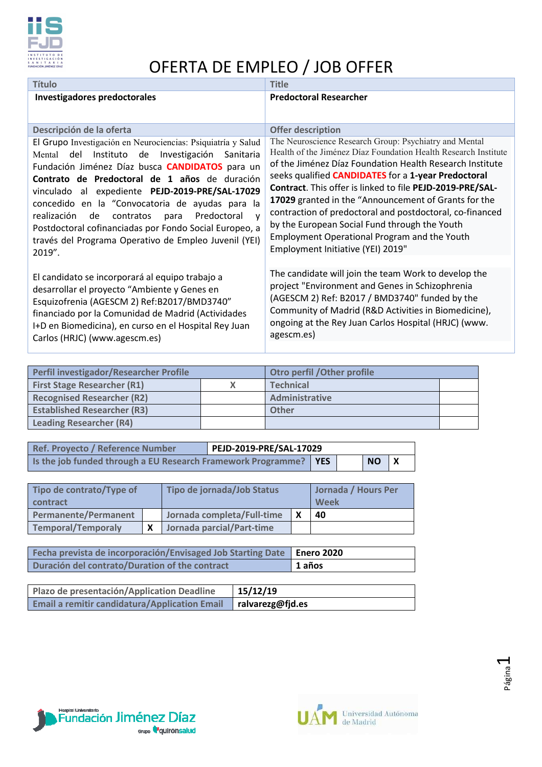

## OFERTA DE EMPLEO / JOB OFFER

| <b>Título</b>                                                                                                                                                                                                                                                                                                                                                                                                                                                                                                                                | <b>Title</b>                                                                                                                                                                                                                                                                                                                                                                                                                                                                                                                                                        |
|----------------------------------------------------------------------------------------------------------------------------------------------------------------------------------------------------------------------------------------------------------------------------------------------------------------------------------------------------------------------------------------------------------------------------------------------------------------------------------------------------------------------------------------------|---------------------------------------------------------------------------------------------------------------------------------------------------------------------------------------------------------------------------------------------------------------------------------------------------------------------------------------------------------------------------------------------------------------------------------------------------------------------------------------------------------------------------------------------------------------------|
| Investigadores predoctorales                                                                                                                                                                                                                                                                                                                                                                                                                                                                                                                 | <b>Predoctoral Researcher</b>                                                                                                                                                                                                                                                                                                                                                                                                                                                                                                                                       |
| Descripción de la oferta                                                                                                                                                                                                                                                                                                                                                                                                                                                                                                                     | <b>Offer description</b>                                                                                                                                                                                                                                                                                                                                                                                                                                                                                                                                            |
| El Grupo Investigación en Neurociencias: Psiquiatría y Salud<br>Instituto de<br>Mental del<br>Investigación<br>Sanitaria<br>Fundación Jiménez Díaz busca CANDIDATOS para un<br>Contrato de Predoctoral de 1 años de duración<br>vinculado al expediente PEJD-2019-PRE/SAL-17029<br>concedido en la "Convocatoria de ayudas para la<br>Predoctoral<br>realización<br>de<br>contratos<br>para<br>$\mathsf{V}$<br>Postdoctoral cofinanciadas por Fondo Social Europeo, a<br>través del Programa Operativo de Empleo Juvenil (YEI)<br>$2019''$ . | The Neuroscience Research Group: Psychiatry and Mental<br>Health of the Jiménez Díaz Foundation Health Research Institute<br>of the Jiménez Díaz Foundation Health Research Institute<br>seeks qualified CANDIDATES for a 1-year Predoctoral<br>Contract. This offer is linked to file PEJD-2019-PRE/SAL-<br>17029 granted in the "Announcement of Grants for the<br>contraction of predoctoral and postdoctoral, co-financed<br>by the European Social Fund through the Youth<br>Employment Operational Program and the Youth<br>Employment Initiative (YEI) 2019" |
| El candidato se incorporará al equipo trabajo a<br>desarrollar el proyecto "Ambiente y Genes en<br>Esquizofrenia (AGESCM 2) Ref:B2017/BMD3740"<br>financiado por la Comunidad de Madrid (Actividades<br>I+D en Biomedicina), en curso en el Hospital Rey Juan<br>Carlos (HRJC) (www.agescm.es)                                                                                                                                                                                                                                               | The candidate will join the team Work to develop the<br>project "Environment and Genes in Schizophrenia<br>(AGESCM 2) Ref: B2017 / BMD3740" funded by the<br>Community of Madrid (R&D Activities in Biomedicine),<br>ongoing at the Rey Juan Carlos Hospital (HRJC) (www.<br>agescm.es)                                                                                                                                                                                                                                                                             |

| Perfil investigador/Researcher Profile |  | Otro perfil / Other profile |  |  |
|----------------------------------------|--|-----------------------------|--|--|
| <b>First Stage Researcher (R1)</b>     |  | <b>Technical</b>            |  |  |
| <b>Recognised Researcher (R2)</b>      |  | <b>Administrative</b>       |  |  |
| <b>Established Researcher (R3)</b>     |  | <b>Other</b>                |  |  |
| <b>Leading Researcher (R4)</b>         |  |                             |  |  |

| Ref. Provecto / Reference Number                                   | PEJD-2019-PRE/SAL-17029 |  |      |  |
|--------------------------------------------------------------------|-------------------------|--|------|--|
| Is the job funded through a EU Research Framework Programme?   YES |                         |  | NO X |  |

| Tipo de contrato/Type of<br>contract | Tipo de jornada/Job Status |  | Jornada / Hours Per<br><b>Week</b> |
|--------------------------------------|----------------------------|--|------------------------------------|
| Permanente/Permanent                 | Jornada completa/Full-time |  | 40                                 |
| <b>Temporal/Temporaly</b>            | Jornada parcial/Part-time  |  |                                    |

| Fecha prevista de incorporación/Envisaged Job Starting Date   Enero 2020 |                       |
|--------------------------------------------------------------------------|-----------------------|
| Duración del contrato/Duration of the contract                           | $\blacksquare$ 1 años |

| Plazo de presentación/Application Deadline           | 15/12/19         |
|------------------------------------------------------|------------------|
| <b>Email a remitir candidatura/Application Email</b> | ralvarezg@fjd.es |



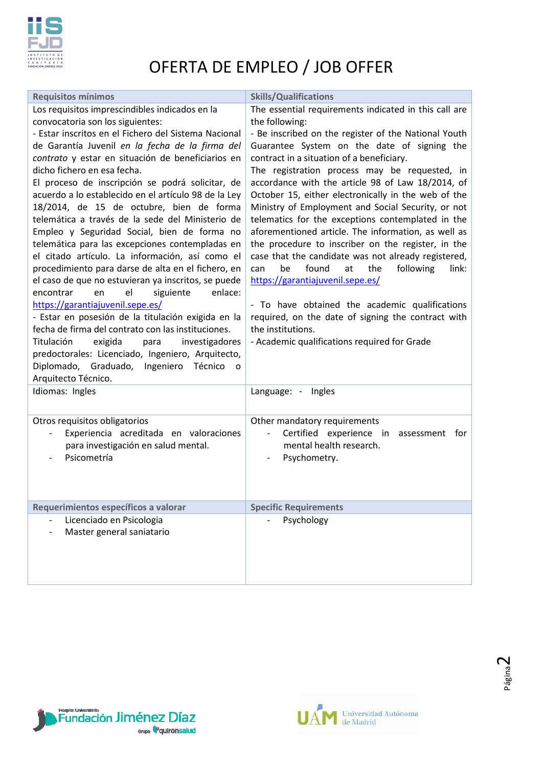

## OFERTA DE EMPLEO / JOB OFFER

| <b>Requisitos mínimos</b>                                                                                                                                                                                                                                                                                                                                                                                                                                                                                                                                                                                                                                                                                                                                                                                                                                                                                                                                                                                                                                                                                                                                | <b>Skills/Qualifications</b>                                                                                                                                                                                                                                                                                                                                                                                                                                                                                                                                                                                                                                                                                                                                                                                                                                                                                                                      |
|----------------------------------------------------------------------------------------------------------------------------------------------------------------------------------------------------------------------------------------------------------------------------------------------------------------------------------------------------------------------------------------------------------------------------------------------------------------------------------------------------------------------------------------------------------------------------------------------------------------------------------------------------------------------------------------------------------------------------------------------------------------------------------------------------------------------------------------------------------------------------------------------------------------------------------------------------------------------------------------------------------------------------------------------------------------------------------------------------------------------------------------------------------|---------------------------------------------------------------------------------------------------------------------------------------------------------------------------------------------------------------------------------------------------------------------------------------------------------------------------------------------------------------------------------------------------------------------------------------------------------------------------------------------------------------------------------------------------------------------------------------------------------------------------------------------------------------------------------------------------------------------------------------------------------------------------------------------------------------------------------------------------------------------------------------------------------------------------------------------------|
| Los requisitos imprescindibles indicados en la<br>convocatoria son los siguientes:<br>- Estar inscritos en el Fichero del Sistema Nacional<br>de Garantía Juvenil en la fecha de la firma del<br>contrato y estar en situación de beneficiarios en<br>dicho fichero en esa fecha.<br>El proceso de inscripción se podrá solicitar, de<br>acuerdo a lo establecido en el artículo 98 de la Ley<br>18/2014, de 15 de octubre, bien de forma<br>telemática a través de la sede del Ministerio de<br>Empleo y Seguridad Social, bien de forma no<br>telemática para las excepciones contempladas en<br>el citado artículo. La información, así como el<br>procedimiento para darse de alta en el fichero, en<br>el caso de que no estuvieran ya inscritos, se puede<br>el<br>enlace:<br>en<br>siguiente<br>encontrar<br>https://garantiajuvenil.sepe.es/<br>- Estar en posesión de la titulación exigida en la<br>fecha de firma del contrato con las instituciones.<br>Titulación<br>exigida<br>investigadores<br>para<br>predoctorales: Licenciado, Ingeniero, Arquitecto,<br>Diplomado, Graduado, Ingeniero Técnico<br>$\mathbf 0$<br>Arquitecto Técnico. | The essential requirements indicated in this call are<br>the following:<br>- Be inscribed on the register of the National Youth<br>Guarantee System on the date of signing the<br>contract in a situation of a beneficiary.<br>The registration process may be requested, in<br>accordance with the article 98 of Law 18/2014, of<br>October 15, either electronically in the web of the<br>Ministry of Employment and Social Security, or not<br>telematics for the exceptions contemplated in the<br>aforementioned article. The information, as well as<br>the procedure to inscriber on the register, in the<br>case that the candidate was not already registered,<br>found<br>at<br>the<br>following<br>link:<br>be<br>can<br>https://garantiajuvenil.sepe.es/<br>- To have obtained the academic qualifications<br>required, on the date of signing the contract with<br>the institutions.<br>- Academic qualifications required for Grade |
| Idiomas: Ingles                                                                                                                                                                                                                                                                                                                                                                                                                                                                                                                                                                                                                                                                                                                                                                                                                                                                                                                                                                                                                                                                                                                                          | Language: - Ingles                                                                                                                                                                                                                                                                                                                                                                                                                                                                                                                                                                                                                                                                                                                                                                                                                                                                                                                                |
| Otros requisitos obligatorios<br>Experiencia acreditada en valoraciones<br>$\overline{\phantom{a}}$<br>para investigación en salud mental.<br>Psicometría                                                                                                                                                                                                                                                                                                                                                                                                                                                                                                                                                                                                                                                                                                                                                                                                                                                                                                                                                                                                | Other mandatory requirements<br>Certified experience in assessment<br>for<br>$\overline{\phantom{a}}$<br>mental health research.<br>Psychometry.                                                                                                                                                                                                                                                                                                                                                                                                                                                                                                                                                                                                                                                                                                                                                                                                  |
| Requerimientos específicos a valorar                                                                                                                                                                                                                                                                                                                                                                                                                                                                                                                                                                                                                                                                                                                                                                                                                                                                                                                                                                                                                                                                                                                     | <b>Specific Requirements</b>                                                                                                                                                                                                                                                                                                                                                                                                                                                                                                                                                                                                                                                                                                                                                                                                                                                                                                                      |
| Licenciado en Psicologia<br>Master general saniatario                                                                                                                                                                                                                                                                                                                                                                                                                                                                                                                                                                                                                                                                                                                                                                                                                                                                                                                                                                                                                                                                                                    | Psychology                                                                                                                                                                                                                                                                                                                                                                                                                                                                                                                                                                                                                                                                                                                                                                                                                                                                                                                                        |